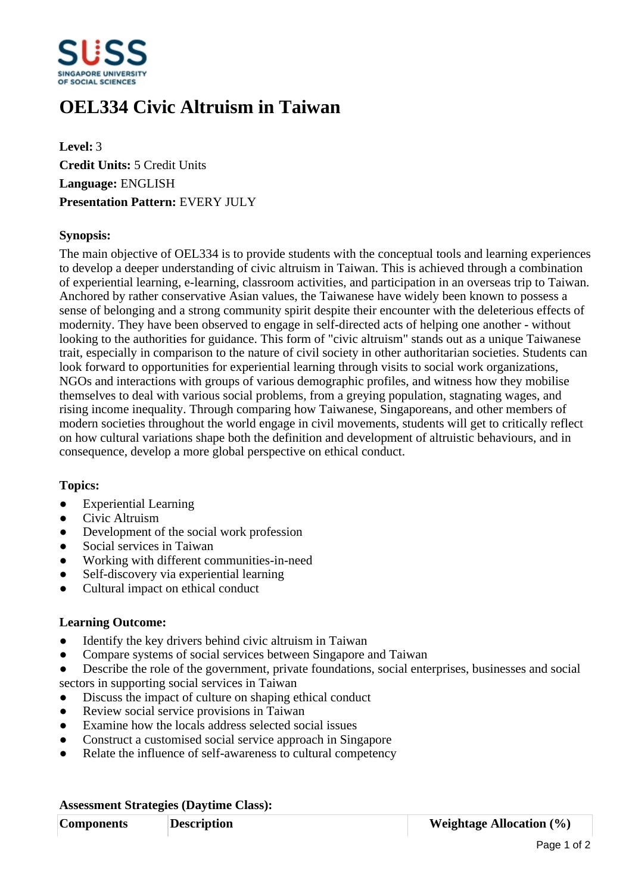

# **OEL334 Civic Altruism in Taiwan**

**Level:** 3 **Credit Units:** 5 Credit Units **Language:** ENGLISH **Presentation Pattern:** EVERY JULY

## **Synopsis:**

The main objective of OEL334 is to provide students with the conceptual tools and learning experiences to develop a deeper understanding of civic altruism in Taiwan. This is achieved through a combination of experiential learning, e-learning, classroom activities, and participation in an overseas trip to Taiwan. Anchored by rather conservative Asian values, the Taiwanese have widely been known to possess a sense of belonging and a strong community spirit despite their encounter with the deleterious effects of modernity. They have been observed to engage in self-directed acts of helping one another - without looking to the authorities for guidance. This form of "civic altruism" stands out as a unique Taiwanese trait, especially in comparison to the nature of civil society in other authoritarian societies. Students can look forward to opportunities for experiential learning through visits to social work organizations, NGOs and interactions with groups of various demographic profiles, and witness how they mobilise themselves to deal with various social problems, from a greying population, stagnating wages, and rising income inequality. Through comparing how Taiwanese, Singaporeans, and other members of modern societies throughout the world engage in civil movements, students will get to critically reflect on how cultural variations shape both the definition and development of altruistic behaviours, and in consequence, develop a more global perspective on ethical conduct.

### **Topics:**

- Experiential Learning
- Civic Altruism
- Development of the social work profession
- Social services in Taiwan
- ƔWorking with different communities-in-need
- Self-discovery via experiential learning
- ƔCultural impact on ethical conduct

### **Learning Outcome:**

- Identify the key drivers behind civic altruism in Taiwan
- ƔCompare systems of social services between Singapore and Taiwan
- Describe the role of the government, private foundations, social enterprises, businesses and social sectors in supporting social services in Taiwan
- Discuss the impact of culture on shaping ethical conduct
- Review social service provisions in Taiwan
- Examine how the locals address selected social issues
- Construct a customised social service approach in Singapore
- Relate the influence of self-awareness to cultural competency

### **Assessment Strategies (Daytime Class):**

| <b>Components</b> | <b>Description</b> | <b>Weightage Allocation</b> $(\%)$ |
|-------------------|--------------------|------------------------------------|
|-------------------|--------------------|------------------------------------|